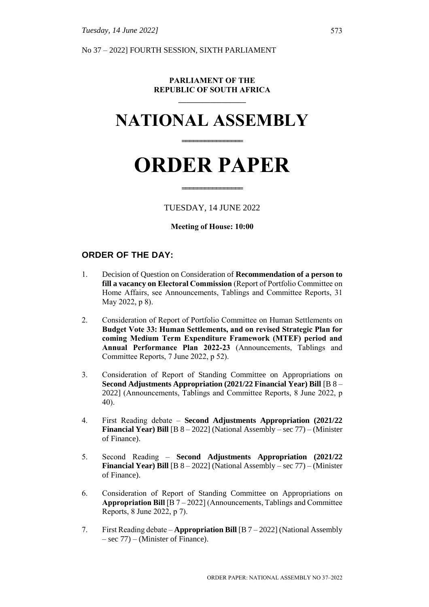No 37 – 2022] FOURTH SESSION, SIXTH PARLIAMENT

#### **PARLIAMENT OF THE REPUBLIC OF SOUTH AFRICA \_\_\_\_\_\_\_\_\_\_\_\_\_\_\_\_\_**

# **NATIONAL ASSEMBLY**

**================**

# **ORDER PAPER**

#### TUESDAY, 14 JUNE 2022

**================**

#### **Meeting of House: 10:00**

## **ORDER OF THE DAY:**

- 1. Decision of Question on Consideration of **Recommendation of a person to fill a vacancy on Electoral Commission** (Report of Portfolio Committee on Home Affairs, see Announcements, Tablings and Committee Reports, 31 May 2022, p 8).
- 2. Consideration of Report of Portfolio Committee on Human Settlements on **Budget Vote 33: Human Settlements, and on revised Strategic Plan for coming Medium Term Expenditure Framework (MTEF) period and Annual Performance Plan 2022-23** (Announcements, Tablings and Committee Reports, 7 June 2022, p 52).
- 3. Consideration of Report of Standing Committee on Appropriations on **Second Adjustments Appropriation (2021/22 Financial Year) Bill** [B 8 – 2022] (Announcements, Tablings and Committee Reports, 8 June 2022, p 40).
- 4. First Reading debate **Second Adjustments Appropriation (2021/22 Financial Year) Bill** [B 8 – 2022] (National Assembly – sec 77) – (Minister of Finance).
- 5. Second Reading **Second Adjustments Appropriation (2021/22 Financial Year) Bill** [B 8 – 2022] (National Assembly – sec 77) – (Minister of Finance).
- 6. Consideration of Report of Standing Committee on Appropriations on **Appropriation Bill** [B 7 – 2022] (Announcements, Tablings and Committee Reports, 8 June 2022, p 7).
- 7. First Reading debate **Appropriation Bill** [B 7 2022] (National Assembly – sec 77) – (Minister of Finance).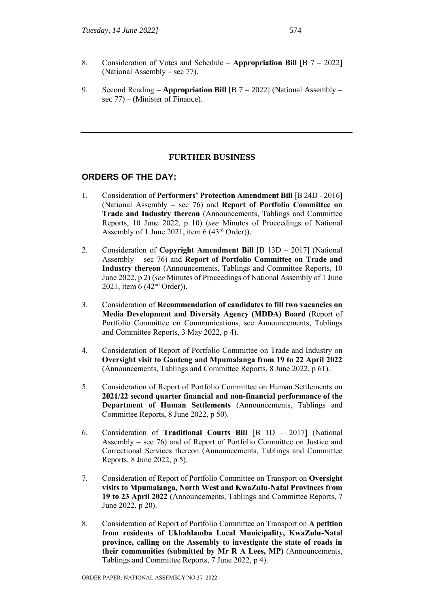- 8. Consideration of Votes and Schedule **Appropriation Bill** [B 7 2022] (National Assembly – sec 77).
- 9. Second Reading **Appropriation Bill** [B 7 2022] (National Assembly sec 77) – (Minister of Finance).

# **FURTHER BUSINESS**

# **ORDERS OF THE DAY:**

- 1. Consideration of **Performers' Protection Amendment Bill** [B 24D 2016] (National Assembly – sec 76) and **Report of Portfolio Committee on Trade and Industry thereon** (Announcements, Tablings and Committee Reports, 10 June 2022, p 10) (*see* Minutes of Proceedings of National Assembly of 1 June 2021, item 6 (43rd Order)).
- 2. Consideration of **Copyright Amendment Bill** [B 13D 2017] (National Assembly – sec 76) and **Report of Portfolio Committee on Trade and Industry thereon** (Announcements, Tablings and Committee Reports, 10 June 2022, p 2) (*see* Minutes of Proceedings of National Assembly of 1 June 2021, item 6 (42nd Order)).
- 3. Consideration of **Recommendation of candidates to fill two vacancies on Media Development and Diversity Agency (MDDA) Board** (Report of Portfolio Committee on Communications, see Announcements, Tablings and Committee Reports, 3 May 2022, p 4).
- 4. Consideration of Report of Portfolio Committee on Trade and Industry on **Oversight visit to Gauteng and Mpumalanga from 19 to 22 April 2022** (Announcements, Tablings and Committee Reports, 8 June 2022, p 61).
- 5. Consideration of Report of Portfolio Committee on Human Settlements on **2021/22 second quarter financial and non-financial performance of the Department of Human Settlements** (Announcements, Tablings and Committee Reports, 8 June 2022, p 50).
- 6. Consideration of **Traditional Courts Bill** [B 1D 2017] (National Assembly – sec 76) and of Report of Portfolio Committee on Justice and Correctional Services thereon (Announcements, Tablings and Committee Reports, 8 June 2022, p 5).
- 7. Consideration of Report of Portfolio Committee on Transport on **Oversight visits to Mpumalanga, North West and KwaZulu-Natal Provinces from 19 to 23 April 2022** (Announcements, Tablings and Committee Reports, 7 June 2022, p 20).
- 8. Consideration of Report of Portfolio Committee on Transport on **A petition from residents of Ukhahlamba Local Municipality, KwaZulu-Natal province, calling on the Assembly to investigate the state of roads in their communities (submitted by Mr R A Lees, MP)** (Announcements, Tablings and Committee Reports, 7 June 2022, p 4).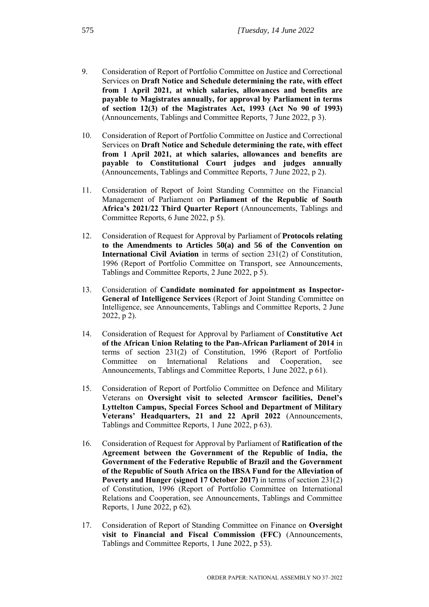- 9. Consideration of Report of Portfolio Committee on Justice and Correctional Services on **Draft Notice and Schedule determining the rate, with effect from 1 April 2021, at which salaries, allowances and benefits are payable to Magistrates annually, for approval by Parliament in terms of section 12(3) of the Magistrates Act, 1993 (Act No 90 of 1993)** (Announcements, Tablings and Committee Reports, 7 June 2022, p 3).
- 10. Consideration of Report of Portfolio Committee on Justice and Correctional Services on **Draft Notice and Schedule determining the rate, with effect from 1 April 2021, at which salaries, allowances and benefits are payable to Constitutional Court judges and judges annually** (Announcements, Tablings and Committee Reports, 7 June 2022, p 2).
- 11. Consideration of Report of Joint Standing Committee on the Financial Management of Parliament on **Parliament of the Republic of South Africa's 2021/22 Third Quarter Report** (Announcements, Tablings and Committee Reports, 6 June 2022, p 5).
- 12. Consideration of Request for Approval by Parliament of **Protocols relating to the Amendments to Articles 50(a) and 56 of the Convention on International Civil Aviation** in terms of section 231(2) of Constitution, 1996 (Report of Portfolio Committee on Transport, see Announcements, Tablings and Committee Reports, 2 June 2022, p 5).
- 13. Consideration of **Candidate nominated for appointment as Inspector-General of Intelligence Services** (Report of Joint Standing Committee on Intelligence, see Announcements, Tablings and Committee Reports, 2 June 2022, p 2).
- 14. Consideration of Request for Approval by Parliament of **Constitutive Act of the African Union Relating to the Pan-African Parliament of 2014** in terms of section 231(2) of Constitution, 1996 (Report of Portfolio Committee on International Relations and Cooperation, see Announcements, Tablings and Committee Reports, 1 June 2022, p 61).
- 15. Consideration of Report of Portfolio Committee on Defence and Military Veterans on **Oversight visit to selected Armscor facilities, Denel's Lyttelton Campus, Special Forces School and Department of Military Veterans' Headquarters, 21 and 22 April 2022** (Announcements, Tablings and Committee Reports, 1 June 2022, p 63).
- 16. Consideration of Request for Approval by Parliament of **Ratification of the Agreement between the Government of the Republic of India, the Government of the Federative Republic of Brazil and the Government of the Republic of South Africa on the IBSA Fund for the Alleviation of Poverty and Hunger (signed 17 October 2017)** in terms of section 231(2) of Constitution, 1996 (Report of Portfolio Committee on International Relations and Cooperation, see Announcements, Tablings and Committee Reports, 1 June 2022, p 62).
- 17. Consideration of Report of Standing Committee on Finance on **Oversight visit to Financial and Fiscal Commission (FFC)** (Announcements, Tablings and Committee Reports, 1 June 2022, p 53).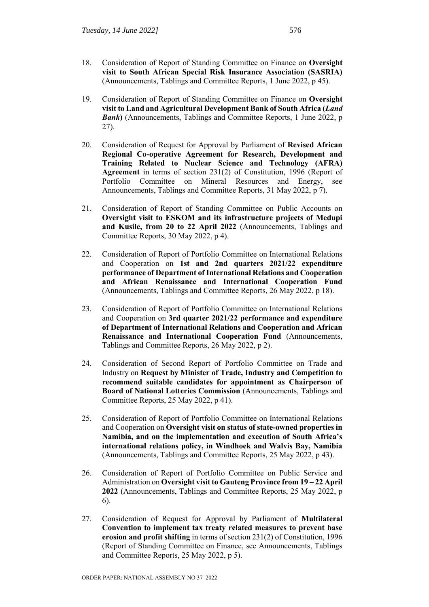- 18. Consideration of Report of Standing Committee on Finance on **Oversight visit to South African Special Risk Insurance Association (SASRIA)**  (Announcements, Tablings and Committee Reports, 1 June 2022, p 45).
- 19. Consideration of Report of Standing Committee on Finance on **Oversight visit to Land and Agricultural Development Bank of South Africa (***Land Bank*) (Announcements, Tablings and Committee Reports, 1 June 2022, p. 27).
- 20. Consideration of Request for Approval by Parliament of **Revised African Regional Co-operative Agreement for Research, Development and Training Related to Nuclear Science and Technology (AFRA) Agreement** in terms of section 231(2) of Constitution, 1996 (Report of Portfolio Committee on Mineral Resources and Energy, see Announcements, Tablings and Committee Reports, 31 May 2022, p 7).
- 21. Consideration of Report of Standing Committee on Public Accounts on **Oversight visit to ESKOM and its infrastructure projects of Medupi and Kusile, from 20 to 22 April 2022** (Announcements, Tablings and Committee Reports, 30 May 2022, p 4).
- 22. Consideration of Report of Portfolio Committee on International Relations and Cooperation on **1st and 2nd quarters 2021/22 expenditure performance of Department of International Relations and Cooperation and African Renaissance and International Cooperation Fund**  (Announcements, Tablings and Committee Reports, 26 May 2022, p 18).
- 23. Consideration of Report of Portfolio Committee on International Relations and Cooperation on **3rd quarter 2021/22 performance and expenditure of Department of International Relations and Cooperation and African Renaissance and International Cooperation Fund** (Announcements, Tablings and Committee Reports, 26 May 2022, p 2).
- 24. Consideration of Second Report of Portfolio Committee on Trade and Industry on **Request by Minister of Trade, Industry and Competition to recommend suitable candidates for appointment as Chairperson of Board of National Lotteries Commission** (Announcements, Tablings and Committee Reports, 25 May 2022, p 41).
- 25. Consideration of Report of Portfolio Committee on International Relations and Cooperation on **Oversight visit on status of state-owned properties in Namibia, and on the implementation and execution of South Africa's international relations policy, in Windhoek and Walvis Bay, Namibia** (Announcements, Tablings and Committee Reports, 25 May 2022, p 43).
- 26. Consideration of Report of Portfolio Committee on Public Service and Administration on **Oversight visit to Gauteng Province from 19 – 22 April 2022** (Announcements, Tablings and Committee Reports, 25 May 2022, p 6).
- 27. Consideration of Request for Approval by Parliament of **Multilateral Convention to implement tax treaty related measures to prevent base erosion and profit shifting** in terms of section 231(2) of Constitution, 1996 (Report of Standing Committee on Finance, see Announcements, Tablings and Committee Reports, 25 May 2022, p 5).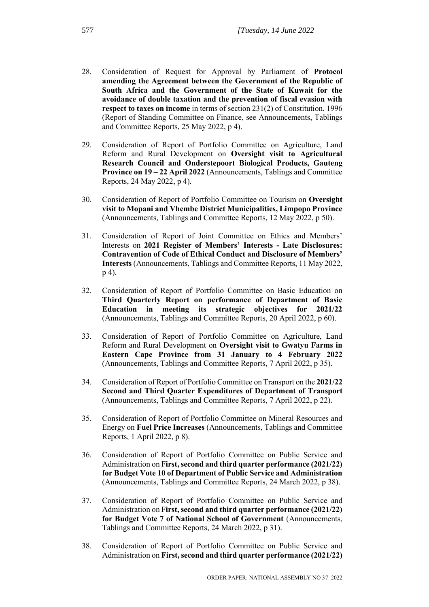- 28. Consideration of Request for Approval by Parliament of **Protocol amending the Agreement between the Government of the Republic of South Africa and the Government of the State of Kuwait for the avoidance of double taxation and the prevention of fiscal evasion with respect to taxes on income** in terms of section 231(2) of Constitution, 1996 (Report of Standing Committee on Finance, see Announcements, Tablings and Committee Reports, 25 May 2022, p 4).
- 29. Consideration of Report of Portfolio Committee on Agriculture, Land Reform and Rural Development on **Oversight visit to Agricultural Research Council and Onderstepoort Biological Products, Gauteng Province on 19 – 22 April 2022** (Announcements, Tablings and Committee Reports, 24 May 2022, p 4).
- 30. Consideration of Report of Portfolio Committee on Tourism on **Oversight visit to Mopani and Vhembe District Municipalities, Limpopo Province** (Announcements, Tablings and Committee Reports, 12 May 2022, p 50).
- 31. Consideration of Report of Joint Committee on Ethics and Members' Interests on **2021 Register of Members' Interests - Late Disclosures: Contravention of Code of Ethical Conduct and Disclosure of Members' Interests** (Announcements, Tablings and Committee Reports, 11 May 2022, p 4).
- 32. Consideration of Report of Portfolio Committee on Basic Education on **Third Quarterly Report on performance of Department of Basic Education in meeting its strategic objectives for 2021/22** (Announcements, Tablings and Committee Reports, 20 April 2022, p 60).
- 33. Consideration of Report of Portfolio Committee on Agriculture, Land Reform and Rural Development on **Oversight visit to Gwatyu Farms in Eastern Cape Province from 31 January to 4 February 2022**  (Announcements, Tablings and Committee Reports, 7 April 2022, p 35).
- 34. Consideration of Report of Portfolio Committee on Transport on the **2021/22 Second and Third Quarter Expenditures of Department of Transport** (Announcements, Tablings and Committee Reports, 7 April 2022, p 22).
- 35. Consideration of Report of Portfolio Committee on Mineral Resources and Energy on **Fuel Price Increases** (Announcements, Tablings and Committee Reports, 1 April 2022, p 8).
- 36. Consideration of Report of Portfolio Committee on Public Service and Administration on F**irst, second and third quarter performance (2021/22) for Budget Vote 10 of Department of Public Service and Administration**  (Announcements, Tablings and Committee Reports, 24 March 2022, p 38).
- 37. Consideration of Report of Portfolio Committee on Public Service and Administration on F**irst, second and third quarter performance (2021/22) for Budget Vote 7 of National School of Government** (Announcements, Tablings and Committee Reports, 24 March 2022, p 31).
- 38. Consideration of Report of Portfolio Committee on Public Service and Administration on **First, second and third quarter performance (2021/22)**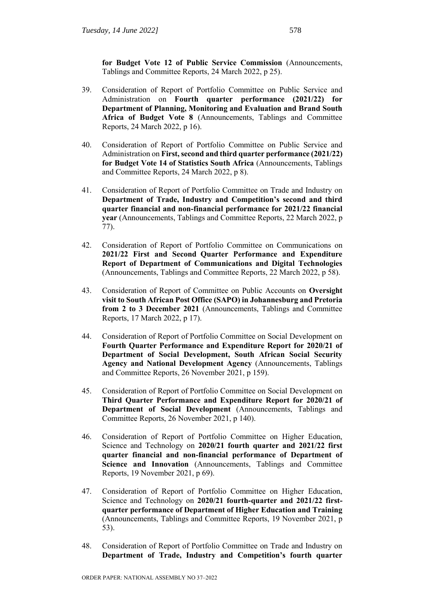**for Budget Vote 12 of Public Service Commission** (Announcements, Tablings and Committee Reports, 24 March 2022, p 25).

- 39. Consideration of Report of Portfolio Committee on Public Service and Administration on **Fourth quarter performance (2021/22) for Department of Planning, Monitoring and Evaluation and Brand South Africa of Budget Vote 8** (Announcements, Tablings and Committee Reports, 24 March 2022, p 16).
- 40. Consideration of Report of Portfolio Committee on Public Service and Administration on **First, second and third quarter performance (2021/22) for Budget Vote 14 of Statistics South Africa** (Announcements, Tablings and Committee Reports, 24 March 2022, p 8).
- 41. Consideration of Report of Portfolio Committee on Trade and Industry on **Department of Trade, Industry and Competition's second and third quarter financial and non-financial performance for 2021/22 financial year** (Announcements, Tablings and Committee Reports, 22 March 2022, p 77).
- 42. Consideration of Report of Portfolio Committee on Communications on **2021/22 First and Second Quarter Performance and Expenditure Report of Department of Communications and Digital Technologies**  (Announcements, Tablings and Committee Reports, 22 March 2022, p 58).
- 43. Consideration of Report of Committee on Public Accounts on **Oversight visit to South African Post Office (SAPO) in Johannesburg and Pretoria from 2 to 3 December 2021** (Announcements, Tablings and Committee Reports, 17 March 2022, p 17).
- 44. Consideration of Report of Portfolio Committee on Social Development on **Fourth Quarter Performance and Expenditure Report for 2020/21 of Department of Social Development, South African Social Security Agency and National Development Agency** (Announcements, Tablings and Committee Reports, 26 November 2021, p 159).
- 45. Consideration of Report of Portfolio Committee on Social Development on **Third Quarter Performance and Expenditure Report for 2020/21 of Department of Social Development** (Announcements, Tablings and Committee Reports, 26 November 2021, p 140).
- 46. Consideration of Report of Portfolio Committee on Higher Education, Science and Technology on **2020/21 fourth quarter and 2021/22 first quarter financial and non-financial performance of Department of Science and Innovation** (Announcements, Tablings and Committee Reports, 19 November 2021, p 69).
- 47. Consideration of Report of Portfolio Committee on Higher Education, Science and Technology on **2020/21 fourth-quarter and 2021/22 firstquarter performance of Department of Higher Education and Training** (Announcements, Tablings and Committee Reports, 19 November 2021, p 53).
- 48. Consideration of Report of Portfolio Committee on Trade and Industry on **Department of Trade, Industry and Competition's fourth quarter**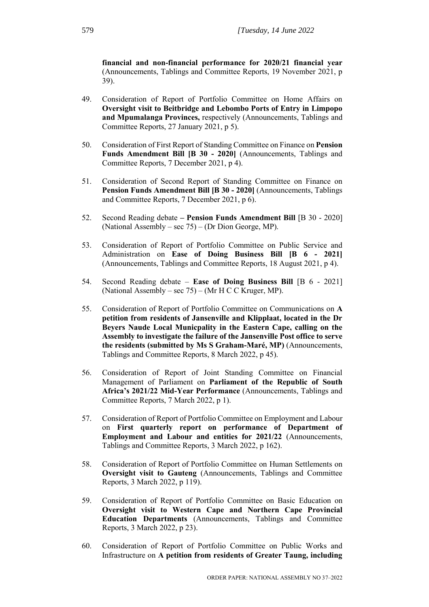**financial and non-financial performance for 2020/21 financial year** (Announcements, Tablings and Committee Reports, 19 November 2021, p 39).

- 49. Consideration of Report of Portfolio Committee on Home Affairs on **Oversight visit to Beitbridge and Lebombo Ports of Entry in Limpopo and Mpumalanga Provinces,** respectively (Announcements, Tablings and Committee Reports, 27 January 2021, p 5).
- 50. Consideration of First Report of Standing Committee on Finance on **Pension Funds Amendment Bill [B 30 - 2020]** (Announcements, Tablings and Committee Reports, 7 December 2021, p 4).
- 51. Consideration of Second Report of Standing Committee on Finance on **Pension Funds Amendment Bill [B 30 - 2020]** (Announcements, Tablings and Committee Reports, 7 December 2021, p 6).
- 52. Second Reading debate **– Pension Funds Amendment Bill** [B 30 2020] (National Assembly – sec 75) – (Dr Dion George, MP).
- 53. Consideration of Report of Portfolio Committee on Public Service and Administration on **Ease of Doing Business Bill [B 6 - 2021]** (Announcements, Tablings and Committee Reports, 18 August 2021, p 4).
- 54. Second Reading debate **Ease of Doing Business Bill** [B 6 2021] (National Assembly – sec  $75$ ) – (Mr H C C Kruger, MP).
- 55. Consideration of Report of Portfolio Committee on Communications on **A petition from residents of Jansenville and Klipplaat, located in the Dr Beyers Naude Local Municpality in the Eastern Cape, calling on the Assembly to investigate the failure of the Jansenville Post office to serve the residents (submitted by Ms S Graham-Maré, MP)** (Announcements, Tablings and Committee Reports, 8 March 2022, p 45).
- 56. Consideration of Report of Joint Standing Committee on Financial Management of Parliament on **Parliament of the Republic of South Africa's 2021/22 Mid-Year Performance** (Announcements, Tablings and Committee Reports, 7 March 2022, p 1).
- 57. Consideration of Report of Portfolio Committee on Employment and Labour on **First quarterly report on performance of Department of Employment and Labour and entities for 2021/22** (Announcements, Tablings and Committee Reports, 3 March 2022, p 162).
- 58. Consideration of Report of Portfolio Committee on Human Settlements on **Oversight visit to Gauteng** (Announcements, Tablings and Committee Reports, 3 March 2022, p 119).
- 59. Consideration of Report of Portfolio Committee on Basic Education on **Oversight visit to Western Cape and Northern Cape Provincial Education Departments** (Announcements, Tablings and Committee Reports, 3 March 2022, p 23).
- 60. Consideration of Report of Portfolio Committee on Public Works and Infrastructure on **A petition from residents of Greater Taung, including**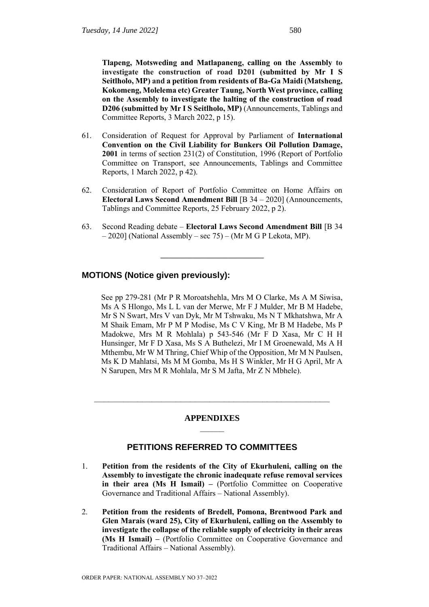**Tlapeng, Motsweding and Matlapaneng, calling on the Assembly to investigate the construction of road D201 (submitted by Mr I S Seitlholo, MP) and a petition from residents of Ba-Ga Maidi (Matsheng, Kokomeng, Molelema etc) Greater Taung, North West province, calling on the Assembly to investigate the halting of the construction of road D206 (submitted by Mr I S Seitlholo, MP)** (Announcements, Tablings and Committee Reports, 3 March 2022, p 15).

- 61. Consideration of Request for Approval by Parliament of **International Convention on the Civil Liability for Bunkers Oil Pollution Damage, 2001** in terms of section 231(2) of Constitution, 1996 (Report of Portfolio Committee on Transport, see Announcements, Tablings and Committee Reports, 1 March 2022, p 42).
- 62. Consideration of Report of Portfolio Committee on Home Affairs on **Electoral Laws Second Amendment Bill** [B 34 – 2020] (Announcements, Tablings and Committee Reports, 25 February 2022, p 2).
- 63. Second Reading debate **Electoral Laws Second Amendment Bill** [B 34 – 2020] (National Assembly – sec 75) – (Mr M G P Lekota, MP).

**\_\_\_\_\_\_\_\_\_\_\_\_\_\_\_\_\_\_\_\_\_\_\_\_\_\_**

#### **MOTIONS (Notice given previously):**

See pp 279-281 (Mr P R Moroatshehla, Mrs M O Clarke, Ms A M Siwisa, Ms A S Hlongo, Ms L L van der Merwe, Mr F J Mulder, Mr B M Hadebe, Mr S N Swart, Mrs V van Dyk, Mr M Tshwaku, Ms N T Mkhatshwa, Mr A M Shaik Emam, Mr P M P Modise, Ms C V King, Mr B M Hadebe, Ms P Madokwe, Mrs M R Mohlala) p 543-546 (Mr F D Xasa, Mr C H H Hunsinger, Mr F D Xasa, Ms S A Buthelezi, Mr I M Groenewald, Ms A H Mthembu, Mr W M Thring, Chief Whip of the Opposition, Mr M N Paulsen, Ms K D Mahlatsi, Ms M M Gomba, Ms H S Winkler, Mr H G April, Mr A N Sarupen, Mrs M R Mohlala, Mr S M Jafta, Mr Z N Mbhele).

#### **APPENDIXES**  $\frac{1}{2}$

**\_\_\_\_\_\_\_\_\_\_\_\_\_\_\_\_\_\_\_\_\_\_\_\_\_\_\_\_\_\_\_\_\_\_\_\_\_\_\_\_\_\_\_\_\_\_\_\_\_**

#### **PETITIONS REFERRED TO COMMITTEES**

- 1. **Petition from the residents of the City of Ekurhuleni, calling on the Assembly to investigate the chronic inadequate refuse removal services in their area (Ms H Ismail) –** (Portfolio Committee on Cooperative Governance and Traditional Affairs – National Assembly).
- 2. **Petition from the residents of Bredell, Pomona, Brentwood Park and Glen Marais (ward 25), City of Ekurhuleni, calling on the Assembly to investigate the collapse of the reliable supply of electricity in their areas (Ms H Ismail) –** (Portfolio Committee on Cooperative Governance and Traditional Affairs – National Assembly).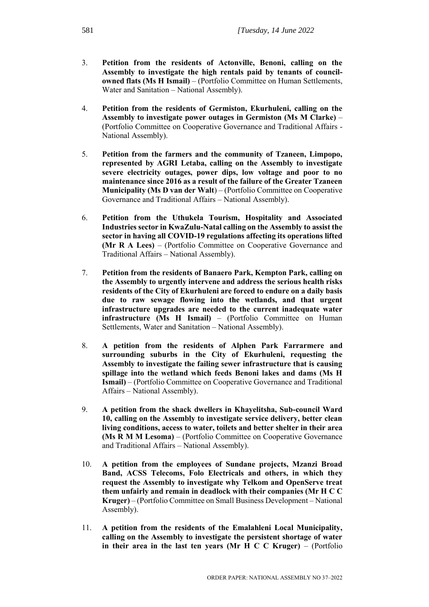- 3. **Petition from the residents of Actonville, Benoni, calling on the Assembly to investigate the high rentals paid by tenants of councilowned flats (Ms H Ismail)** – (Portfolio Committee on Human Settlements, Water and Sanitation – National Assembly).
- 4. **Petition from the residents of Germiston, Ekurhuleni, calling on the Assembly to investigate power outages in Germiston (Ms M Clarke)** – (Portfolio Committee on Cooperative Governance and Traditional Affairs - National Assembly).
- 5. **Petition from the farmers and the community of Tzaneen, Limpopo, represented by AGRI Letaba, calling on the Assembly to investigate severe electricity outages, power dips, low voltage and poor to no maintenance since 2016 as a result of the failure of the Greater Tzaneen Municipality (Ms D van der Walt**) – (Portfolio Committee on Cooperative Governance and Traditional Affairs – National Assembly).
- 6. **Petition from the Uthukela Tourism, Hospitality and Associated Industries sector in KwaZulu-Natal calling on the Assembly to assist the sector in having all COVID-19 regulations affecting its operations lifted (Mr R A Lees)** – (Portfolio Committee on Cooperative Governance and Traditional Affairs – National Assembly).
- 7. **Petition from the residents of Banaero Park, Kempton Park, calling on the Assembly to urgently intervene and address the serious health risks residents of the City of Ekurhuleni are forced to endure on a daily basis due to raw sewage flowing into the wetlands, and that urgent infrastructure upgrades are needed to the current inadequate water infrastructure (Ms H Ismail)** – (Portfolio Committee on Human Settlements, Water and Sanitation – National Assembly).
- 8. **A petition from the residents of Alphen Park Farrarmere and surrounding suburbs in the City of Ekurhuleni, requesting the Assembly to investigate the failing sewer infrastructure that is causing spillage into the wetland which feeds Benoni lakes and dams (Ms H Ismail)** – (Portfolio Committee on Cooperative Governance and Traditional Affairs – National Assembly).
- 9. **A petition from the shack dwellers in Khayelitsha, Sub-council Ward 10, calling on the Assembly to investigate service delivery, better clean living conditions, access to water, toilets and better shelter in their area (Ms R M M Lesoma)** – (Portfolio Committee on Cooperative Governance and Traditional Affairs – National Assembly).
- 10. **A petition from the employees of Sundane projects, Mzanzi Broad Band, ACSS Telecoms, Folo Electricals and others, in which they request the Assembly to investigate why Telkom and OpenServe treat them unfairly and remain in deadlock with their companies (Mr H C C Kruger)** – (Portfolio Committee on Small Business Development – National Assembly).
- 11. **A petition from the residents of the Emalahleni Local Municipality, calling on the Assembly to investigate the persistent shortage of water in their area in the last ten years (Mr H C C Kruger)** – (Portfolio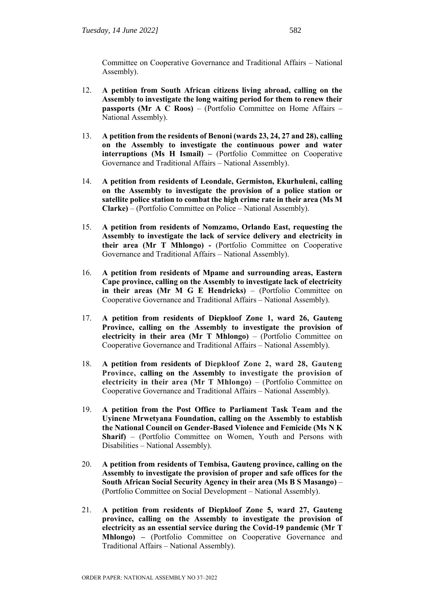Committee on Cooperative Governance and Traditional Affairs – National Assembly).

- 12. **A petition from South African citizens living abroad, calling on the Assembly to investigate the long waiting period for them to renew their passports (Mr A C Roos)** – (Portfolio Committee on Home Affairs – National Assembly).
- 13. **A petition from the residents of Benoni (wards 23, 24, 27 and 28), calling on the Assembly to investigate the continuous power and water interruptions (Ms H Ismail) –** (Portfolio Committee on Cooperative Governance and Traditional Affairs – National Assembly).
- 14. **A petition from residents of Leondale, Germiston, Ekurhuleni, calling on the Assembly to investigate the provision of a police station or satellite police station to combat the high crime rate in their area (Ms M Clarke)** – (Portfolio Committee on Police – National Assembly).
- 15. **A petition from residents of Nomzamo, Orlando East, requesting the Assembly to investigate the lack of service delivery and electricity in their area (Mr T Mhlongo) -** (Portfolio Committee on Cooperative Governance and Traditional Affairs – National Assembly).
- 16. **A petition from residents of Mpame and surrounding areas, Eastern Cape province, calling on the Assembly to investigate lack of electricity in their areas (Mr M G E Hendricks)** – (Portfolio Committee on Cooperative Governance and Traditional Affairs – National Assembly).
- 17. **A petition from residents of Diepkloof Zone 1, ward 26, Gauteng Province, calling on the Assembly to investigate the provision of electricity in their area (Mr T Mhlongo)** – (Portfolio Committee on Cooperative Governance and Traditional Affairs – National Assembly).
- 18. **A petition from residents of Diepkloof Zone 2, ward 28, Gauteng Province, calling on the Assembly to investigate the provision of electricity in their area (Mr T Mhlongo)** – (Portfolio Committee on Cooperative Governance and Traditional Affairs – National Assembly).
- 19. **A petition from the Post Office to Parliament Task Team and the Uyinene Mrwetyana Foundation, calling on the Assembly to establish the National Council on Gender-Based Violence and Femicide (Ms N K Sharif)** – (Portfolio Committee on Women, Youth and Persons with Disabilities – National Assembly).
- 20. **A petition from residents of Tembisa, Gauteng province, calling on the Assembly to investigate the provision of proper and safe offices for the South African Social Security Agency in their area (Ms B S Masango)** – (Portfolio Committee on Social Development – National Assembly).
- 21. **A petition from residents of Diepkloof Zone 5, ward 27, Gauteng province, calling on the Assembly to investigate the provision of electricity as an essential service during the Covid-19 pandemic (Mr T Mhlongo) –** (Portfolio Committee on Cooperative Governance and Traditional Affairs – National Assembly).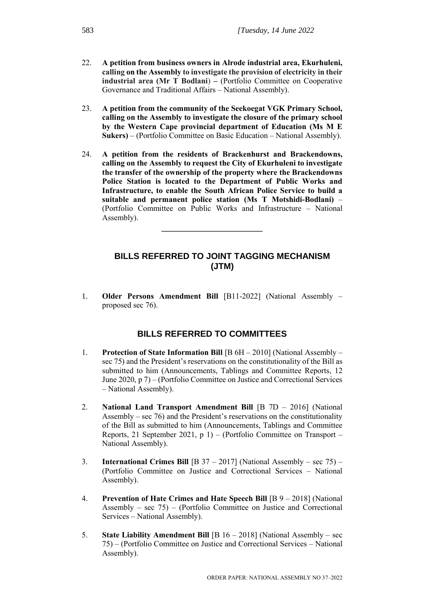- 22. **A petition from business owners in Alrode industrial area, Ekurhuleni, calling on the Assembly to investigate the provision of electricity in their industrial area (Mr T Bodlani**) **–** (Portfolio Committee on Cooperative Governance and Traditional Affairs – National Assembly).
- 23. **A petition from the community of the Seekoegat VGK Primary School, calling on the Assembly to investigate the closure of the primary school by the Western Cape provincial department of Education (Ms M E Sukers)** – (Portfolio Committee on Basic Education – National Assembly).
- 24. **A petition from the residents of Brackenhurst and Brackendowns, calling on the Assembly to request the City of Ekurhuleni to investigate the transfer of the ownership of the property where the Brackendowns Police Station is located to the Department of Public Works and Infrastructure, to enable the South African Police Service to build a suitable and permanent police station (Ms T Motshidi-Bodlani)** – (Portfolio Committee on Public Works and Infrastructure – National Assembly).

\_\_\_\_\_\_\_\_\_\_\_\_\_\_\_\_\_\_\_\_\_

# **BILLS REFERRED TO JOINT TAGGING MECHANISM (JTM)**

1. **Older Persons Amendment Bill** [B11-2022] (National Assembly – proposed sec 76).

#### **BILLS REFERRED TO COMMITTEES**

- 1. **Protection of State Information Bill** [B 6H 2010] (National Assembly sec 75) and the President's reservations on the constitutionality of the Bill as submitted to him (Announcements, Tablings and Committee Reports, 12 June 2020, p 7) – (Portfolio Committee on Justice and Correctional Services – National Assembly).
- 2. **National Land Transport Amendment Bill** [B 7D 2016] (National Assembly – sec 76) and the President's reservations on the constitutionality of the Bill as submitted to him (Announcements, Tablings and Committee Reports, 21 September 2021, p 1) – (Portfolio Committee on Transport – National Assembly).
- 3. **International Crimes Bill** [B 37 2017] (National Assembly sec 75) (Portfolio Committee on Justice and Correctional Services – National Assembly).
- 4. **Prevention of Hate Crimes and Hate Speech Bill** [B 9 2018] (National Assembly – sec  $75$ ) – (Portfolio Committee on Justice and Correctional Services – National Assembly).
- 5. **State Liability Amendment Bill** [B 16 2018] (National Assembly sec 75) – (Portfolio Committee on Justice and Correctional Services – National Assembly).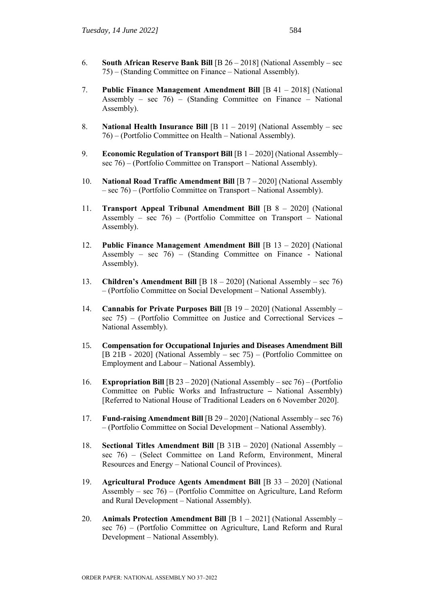- 6. **South African Reserve Bank Bill** [B 26 2018] (National Assembly sec 75) – (Standing Committee on Finance – National Assembly).
- 7. **Public Finance Management Amendment Bill** [B 41 2018] (National Assembly – sec  $76$ ) – (Standing Committee on Finance – National Assembly).
- 8. **National Health Insurance Bill** [B 11 2019] (National Assembly sec 76) – (Portfolio Committee on Health – National Assembly).
- 9. **Economic Regulation of Transport Bill** [B 1 2020] (National Assembly– sec 76) – (Portfolio Committee on Transport – National Assembly).
- 10. **National Road Traffic Amendment Bill** [B 7 2020] (National Assembly – sec 76) – (Portfolio Committee on Transport – National Assembly).
- 11. **Transport Appeal Tribunal Amendment Bill** [B 8 2020] (National Assembly – sec 76) – (Portfolio Committee on Transport – National Assembly).
- 12. **Public Finance Management Amendment Bill** [B 13 2020] (National Assembly – sec 76) – (Standing Committee on Finance - National Assembly).
- 13. **Children's Amendment Bill** [B 18 2020] (National Assembly sec 76) – (Portfolio Committee on Social Development – National Assembly).
- 14. **Cannabis for Private Purposes Bill** [B 19 2020] (National Assembly sec 75) – (Portfolio Committee on Justice and Correctional Services **–** National Assembly).
- 15. **Compensation for Occupational Injuries and Diseases Amendment Bill** [B 21B - 2020] (National Assembly – sec 75) – (Portfolio Committee on Employment and Labour – National Assembly).
- 16. **Expropriation Bill** [B 23 2020] (National Assembly sec 76) (Portfolio Committee on Public Works and Infrastructure **–** National Assembly) [Referred to National House of Traditional Leaders on 6 November 2020].
- 17. **Fund-raising Amendment Bill** [B 29 2020] (National Assembly sec 76) – (Portfolio Committee on Social Development – National Assembly).
- 18. **Sectional Titles Amendment Bill** [B 31B 2020] (National Assembly sec 76) – (Select Committee on Land Reform, Environment, Mineral Resources and Energy – National Council of Provinces).
- 19. **Agricultural Produce Agents Amendment Bill** [B 33 2020] (National Assembly – sec 76) – (Portfolio Committee on Agriculture, Land Reform and Rural Development – National Assembly).
- 20. **Animals Protection Amendment Bill** [B 1 2021] (National Assembly sec 76) – (Portfolio Committee on Agriculture, Land Reform and Rural Development – National Assembly).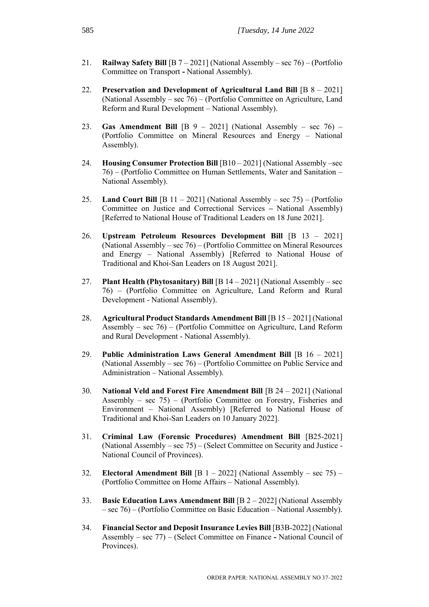- 21. **Railway Safety Bill** [B 7 2021] (National Assembly sec 76) (Portfolio Committee on Transport **-** National Assembly).
- 22. **Preservation and Development of Agricultural Land Bill** [B 8 2021] (National Assembly – sec 76) – (Portfolio Committee on Agriculture, Land Reform and Rural Development – National Assembly).
- 23. **Gas Amendment Bill** [B 9 2021] (National Assembly sec 76) (Portfolio Committee on Mineral Resources and Energy – National Assembly).
- 24. **Housing Consumer Protection Bill** [B10 2021] (National Assembly –sec 76) – (Portfolio Committee on Human Settlements, Water and Sanitation – National Assembly).
- 25. **Land Court Bill** [B 11 2021] (National Assembly sec 75) (Portfolio Committee on Justice and Correctional Services **–** National Assembly) [Referred to National House of Traditional Leaders on 18 June 2021].
- 26. **Upstream Petroleum Resources Development Bill** [B 13 2021] (National Assembly – sec 76) – (Portfolio Committee on Mineral Resources and Energy – National Assembly) [Referred to National House of Traditional and Khoi-San Leaders on 18 August 2021].
- 27. **Plant Health (Phytosanitary) Bill** [B 14 2021] (National Assembly sec 76) – (Portfolio Committee on Agriculture, Land Reform and Rural Development - National Assembly).
- 28. **Agricultural Product Standards Amendment Bill** [B 15 2021] (National Assembly – sec 76) – (Portfolio Committee on Agriculture, Land Reform and Rural Development - National Assembly).
- 29. **Public Administration Laws General Amendment Bill** [B 16 2021] (National Assembly – sec 76) – (Portfolio Committee on Public Service and Administration – National Assembly).
- 30. **National Veld and Forest Fire Amendment Bill** [B 24 2021] (National Assembly – sec 75) – (Portfolio Committee on Forestry, Fisheries and Environment – National Assembly) [Referred to National House of Traditional and Khoi-San Leaders on 10 January 2022].
- 31. **Criminal Law (Forensic Procedures) Amendment Bill** [B25-2021] (National Assembly – sec 75) – (Select Committee on Security and Justice - National Council of Provinces).
- 32. **Electoral Amendment Bill** [B 1 2022] (National Assembly sec 75) (Portfolio Committee on Home Affairs – National Assembly).
- 33. **Basic Education Laws Amendment Bill** [B 2 2022] (National Assembly – sec 76) – (Portfolio Committee on Basic Education – National Assembly).
- 34. **Financial Sector and Deposit Insurance Levies Bill** [B3B-2022] (National Assembly – sec 77) – (Select Committee on Finance **-** National Council of Provinces).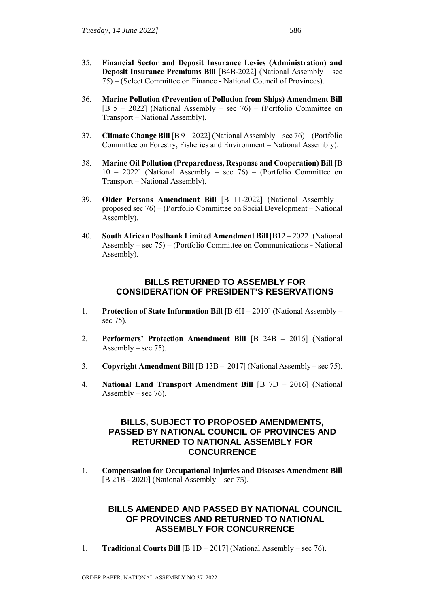- 35. **Financial Sector and Deposit Insurance Levies (Administration) and Deposit Insurance Premiums Bill** [B4B-2022] (National Assembly – sec 75) – (Select Committee on Finance **-** National Council of Provinces).
- 36. **Marine Pollution (Prevention of Pollution from Ships) Amendment Bill**  [B 5 – 2022] (National Assembly – sec 76) – (Portfolio Committee on Transport – National Assembly).
- 37. **Climate Change Bill** [B 9 2022] (National Assembly sec 76) (Portfolio Committee on Forestry, Fisheries and Environment – National Assembly).
- 38. **Marine Oil Pollution (Preparedness, Response and Cooperation) Bill** [B 10 – 2022] (National Assembly – sec 76) – (Portfolio Committee on Transport – National Assembly).
- 39. **Older Persons Amendment Bill** [B 11-2022] (National Assembly proposed sec 76) – (Portfolio Committee on Social Development – National Assembly).
- 40. **South African Postbank Limited Amendment Bill** [B12 2022] (National Assembly – sec 75) – (Portfolio Committee on Communications **-** National Assembly).

# **BILLS RETURNED TO ASSEMBLY FOR CONSIDERATION OF PRESIDENT'S RESERVATIONS**

- 1. **Protection of State Information Bill** [B 6H 2010] (National Assembly sec 75).
- 2. **Performers' Protection Amendment Bill** [B 24B 2016] (National Assembly – sec  $75$ ).
- 3. **Copyright Amendment Bill** [B 13B 2017] (National Assembly sec 75).
- 4. **National Land Transport Amendment Bill** [B 7D 2016] (National Assembly – sec  $76$ ).

# **BILLS, SUBJECT TO PROPOSED AMENDMENTS, PASSED BY NATIONAL COUNCIL OF PROVINCES AND RETURNED TO NATIONAL ASSEMBLY FOR CONCURRENCE**

1. **Compensation for Occupational Injuries and Diseases Amendment Bill** [B 21B - 2020] (National Assembly – sec 75).

# **BILLS AMENDED AND PASSED BY NATIONAL COUNCIL OF PROVINCES AND RETURNED TO NATIONAL ASSEMBLY FOR CONCURRENCE**

1. **Traditional Courts Bill** [B 1D – 2017] (National Assembly – sec 76).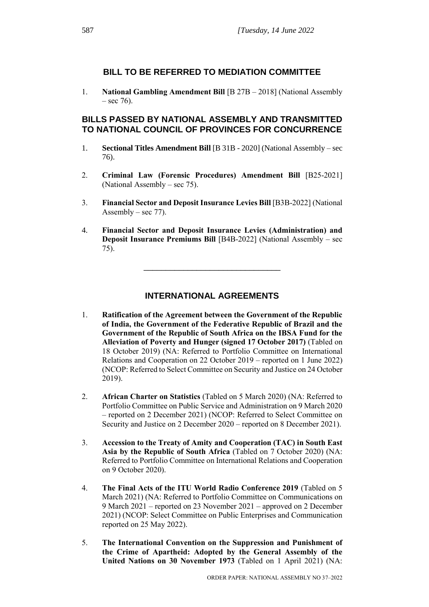# **BILL TO BE REFERRED TO MEDIATION COMMITTEE**

1. **National Gambling Amendment Bill** [B 27B – 2018] (National Assembly  $-$  sec 76).

# **BILLS PASSED BY NATIONAL ASSEMBLY AND TRANSMITTED TO NATIONAL COUNCIL OF PROVINCES FOR CONCURRENCE**

- 1. **Sectional Titles Amendment Bill** [B 31B 2020] (National Assembly sec 76).
- 2. **Criminal Law (Forensic Procedures) Amendment Bill** [B25-2021] (National Assembly – sec 75).
- 3. **Financial Sector and Deposit Insurance Levies Bill** [B3B-2022] (National Assembly – sec  $77$ ).
- 4. **Financial Sector and Deposit Insurance Levies (Administration) and Deposit Insurance Premiums Bill** [B4B-2022] (National Assembly – sec 75).

\_\_\_\_\_\_\_\_\_\_\_\_\_\_\_\_\_\_\_\_\_\_\_\_\_\_\_\_\_\_\_

# **INTERNATIONAL AGREEMENTS**

- 1. **Ratification of the Agreement between the Government of the Republic of India, the Government of the Federative Republic of Brazil and the Government of the Republic of South Africa on the IBSA Fund for the Alleviation of Poverty and Hunger (signed 17 October 2017)** (Tabled on 18 October 2019) (NA: Referred to Portfolio Committee on International Relations and Cooperation on 22 October 2019 – reported on 1 June 2022) (NCOP: Referred to Select Committee on Security and Justice on 24 October 2019).
- 2. **African Charter on Statistics** (Tabled on 5 March 2020) (NA: Referred to Portfolio Committee on Public Service and Administration on 9 March 2020 – reported on 2 December 2021) (NCOP: Referred to Select Committee on Security and Justice on 2 December 2020 – reported on 8 December 2021).
- 3. **Accession to the Treaty of Amity and Cooperation (TAC) in South East Asia by the Republic of South Africa** (Tabled on 7 October 2020) (NA: Referred to Portfolio Committee on International Relations and Cooperation on 9 October 2020).
- 4. **The Final Acts of the ITU World Radio Conference 2019** (Tabled on 5 March 2021) (NA: Referred to Portfolio Committee on Communications on 9 March 2021 – reported on 23 November 2021 – approved on 2 December 2021) (NCOP: Select Committee on Public Enterprises and Communication reported on 25 May 2022).
- 5. **The International Convention on the Suppression and Punishment of the Crime of Apartheid: Adopted by the General Assembly of the United Nations on 30 November 1973** (Tabled on 1 April 2021) (NA: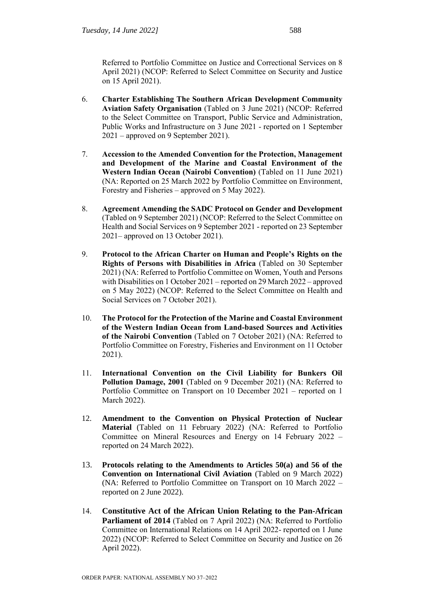Referred to Portfolio Committee on Justice and Correctional Services on 8 April 2021) (NCOP: Referred to Select Committee on Security and Justice on 15 April 2021).

- 6. **Charter Establishing The Southern African Development Community Aviation Safety Organisation** (Tabled on 3 June 2021) (NCOP: Referred to the Select Committee on Transport, Public Service and Administration, Public Works and Infrastructure on 3 June 2021 - reported on 1 September 2021 – approved on 9 September 2021).
- 7. **Accession to the Amended Convention for the Protection, Management and Development of the Marine and Coastal Environment of the Western Indian Ocean (Nairobi Convention)** (Tabled on 11 June 2021) (NA: Reported on 25 March 2022 by Portfolio Committee on Environment, Forestry and Fisheries – approved on 5 May 2022).
- 8. **Agreement Amending the SADC Protocol on Gender and Development**  (Tabled on 9 September 2021) (NCOP: Referred to the Select Committee on Health and Social Services on 9 September 2021 - reported on 23 September 2021– approved on 13 October 2021).
- 9. **Protocol to the African Charter on Human and People's Rights on the Rights of Persons with Disabilities in Africa** (Tabled on 30 September 2021) (NA: Referred to Portfolio Committee on Women, Youth and Persons with Disabilities on 1 October 2021 – reported on 29 March 2022 – approved on 5 May 2022) (NCOP: Referred to the Select Committee on Health and Social Services on 7 October 2021).
- 10. **The Protocol for the Protection of the Marine and Coastal Environment of the Western Indian Ocean from Land-based Sources and Activities of the Nairobi Convention** (Tabled on 7 October 2021) (NA: Referred to Portfolio Committee on Forestry, Fisheries and Environment on 11 October 2021).
- 11. **International Convention on the Civil Liability for Bunkers Oil Pollution Damage, 2001** (Tabled on 9 December 2021) (NA: Referred to Portfolio Committee on Transport on 10 December 2021 – reported on 1 March 2022).
- 12. **Amendment to the Convention on Physical Protection of Nuclear Material** (Tabled on 11 February 2022) (NA: Referred to Portfolio Committee on Mineral Resources and Energy on 14 February 2022 – reported on 24 March 2022).
- 13. **Protocols relating to the Amendments to Articles 50(a) and 56 of the Convention on International Civil Aviation** (Tabled on 9 March 2022) (NA: Referred to Portfolio Committee on Transport on 10 March 2022 – reported on 2 June 2022).
- 14. **Constitutive Act of the African Union Relating to the Pan-African Parliament of 2014** (Tabled on 7 April 2022) (NA: Referred to Portfolio Committee on International Relations on 14 April 2022- reported on 1 June 2022) (NCOP: Referred to Select Committee on Security and Justice on 26 April 2022).